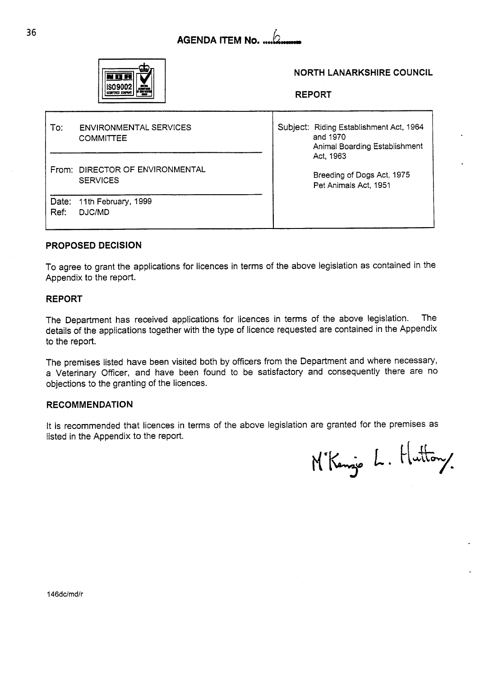



### **NORTH LANARKSHIRE COUNCIL**

**REPORT** 

| To:  | <b>ENVIRONMENTAL SERVICES</b><br><b>COMMITTEE</b>  | Subject: Riding Establishment Act, 1964<br>and 1970<br>Animal Boarding Establishment |
|------|----------------------------------------------------|--------------------------------------------------------------------------------------|
|      | From: DIRECTOR OF ENVIRONMENTAL<br><b>SERVICES</b> | Act, 1963<br>Breeding of Dogs Act, 1975<br>Pet Animals Act, 1951                     |
| Ref: | Date: 11th February, 1999<br>DJC/MD                |                                                                                      |

### **PROPOSED DECISION**

To agree to grant the applications for licences in terms of the above legislation as contained in the Appendix to the report.

#### **REPORT**

The Department has received applications for licences in terms of the above legislation. The details of the applications together with the type of licence requested are contained in the Appendix to the report.

The premises listed have been visited both **by** officers from the Department and where necessary, a Veterinary Officer, and have been found to be satisfactory and consequently there are no objections to the granting of the licences.

#### **RECOMMENDATION**

It is recommended that licences in terms of the above legislation are granted for the premises as listed in the Appendix to the report.

M'Kenzie L. Huttony.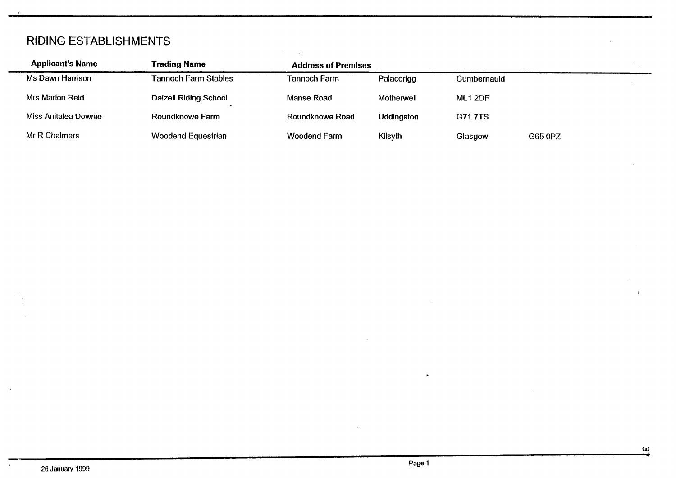## RIDING ESTABLISHMENTS

| <b>Applicant's Name</b> | Trading Name                 | <b>Address of Premises</b> |                   |                |         |  |
|-------------------------|------------------------------|----------------------------|-------------------|----------------|---------|--|
| Ms Dawn Harrison        | <b>Tannoch Farm Stables</b>  | Tannoch Farm               | Palacerigg        | Cumbernauld    |         |  |
| <b>Mrs Marion Reid</b>  | <b>Dalzell Riding School</b> | Manse Road                 | Motherwell        | <b>ML1 2DF</b> |         |  |
| Miss Anitalea Downie    | Roundknowe Farm              | Roundknowe Road            | <b>Uddingston</b> | <b>G717TS</b>  |         |  |
| Mr R Chalmers           | <b>Woodend Equestrian</b>    | <b>Woodend Farm</b>        | Kilsyth           | Glasgow        | G65 0PZ |  |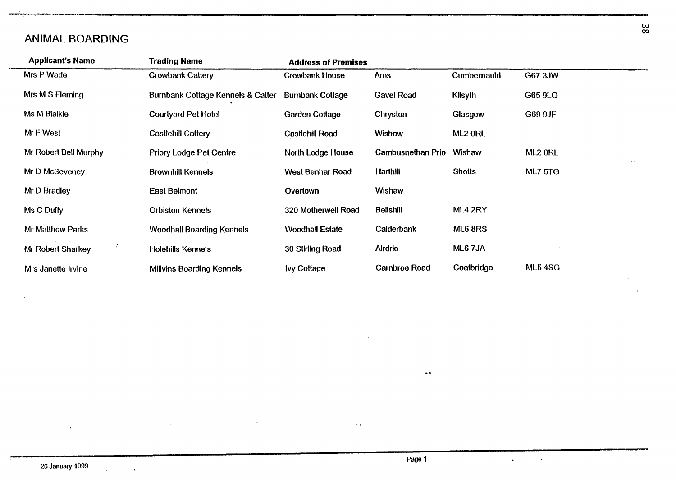### ANIMAL BOARDING

| <b>Applicant's Name</b> | <b>Trading Name</b>               | <b>Address of Premises</b> |                      |                    |                     |
|-------------------------|-----------------------------------|----------------------------|----------------------|--------------------|---------------------|
| Mrs P Wade              | <b>Crowbank Cattery</b>           | <b>Crowbank House</b>      | <b>Arns</b>          | <b>Cumbernauld</b> | G67 3JW             |
| Mrs M S Fleming         | Burnbank Cottage Kennels & Catter | <b>Burnbank Cottage</b>    | <b>Gavel Road</b>    | <b>Kilsyth</b>     | G65 9LQ             |
| Ms M Blaikie            | <b>Courtyard Pet Hotel</b>        | Garden Cottage             | Chryston             | Glasgow            | G69 9JF             |
| Mr F West               | <b>Castlehill Cattery</b>         | <b>Castlehill Road</b>     | Wishaw               | ML2 ORL            |                     |
| Mr Robert Bell Murphy   | <b>Priory Lodge Pet Centre</b>    | North Lodge House          | Cambusnethan Prio    | Wishaw             | ML <sub>2</sub> ORL |
| Mr D McSeveney          | <b>Brownhill Kennels</b>          | West Benhar Road           | <b>Harthill</b>      | <b>Shotts</b>      | <b>ML7 5TG</b>      |
| Mr D Bradley            | <b>East Belmont</b>               | Overtown                   | Wishaw               |                    |                     |
| Ms C Duffy              | <b>Orbiston Kennels</b>           | 320 Motherwell Road        | <b>Bellshill</b>     | ML4 2RY            |                     |
| Mr Matthew Parks        | <b>Woodhall Boarding Kennels</b>  | <b>Woodhall Estate</b>     | Calderbank           | ML6 8RS            |                     |
| Mr Robert Sharkey       | <b>Holehills Kennels</b>          | 30 Stirling Road           | Airdrie              | ML67JA             |                     |
| Mrs Janette Irvine      | <b>Millvins Boarding Kennels</b>  | <b>Ivy Cottage</b>         | <b>Carnbroe Road</b> | Coatbridge         | <b>ML54SG</b>       |

 $\sim 10^7$ 

**W**  *03* 

 $\mathbf{I}$ 

 $\overline{\phantom{a}}$ 

J.

 $\mathbf{z} = \mathbf{z} \times \mathbf{z}$  .

.:

..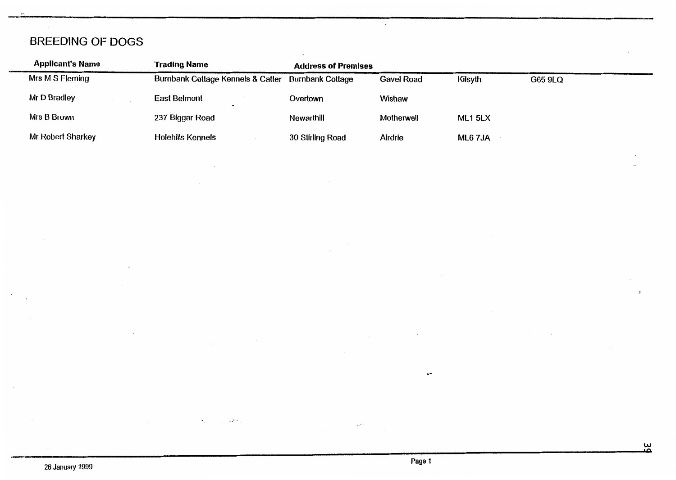# BREEDING OF DOGS

| <b>Applicant's Name</b> | <b>Trading Name</b>               | <b>Address of Premises</b> |                   |         |         |
|-------------------------|-----------------------------------|----------------------------|-------------------|---------|---------|
| Mrs M S Fleming         | Burnbank Cottage Kennels & Catter | <b>Burnbank Cottage</b>    | <b>Gavel Road</b> | Kilsyth | G65 9LQ |
| Mr D Bradley            | <b>East Belmont</b>               | Overtown                   | Wishaw            |         |         |
| Mrs B Brown             | 237 Biggar Road                   | Newarthill                 | Motherwell        | ML1 5LX |         |
| Mr Robert Sharkey       | <b>Holehills Kennels</b>          | 30 Stirling Road           | Airdrie           | ML6 7JA |         |

 $\sim 45^{\circ}$ v.

-,

.-